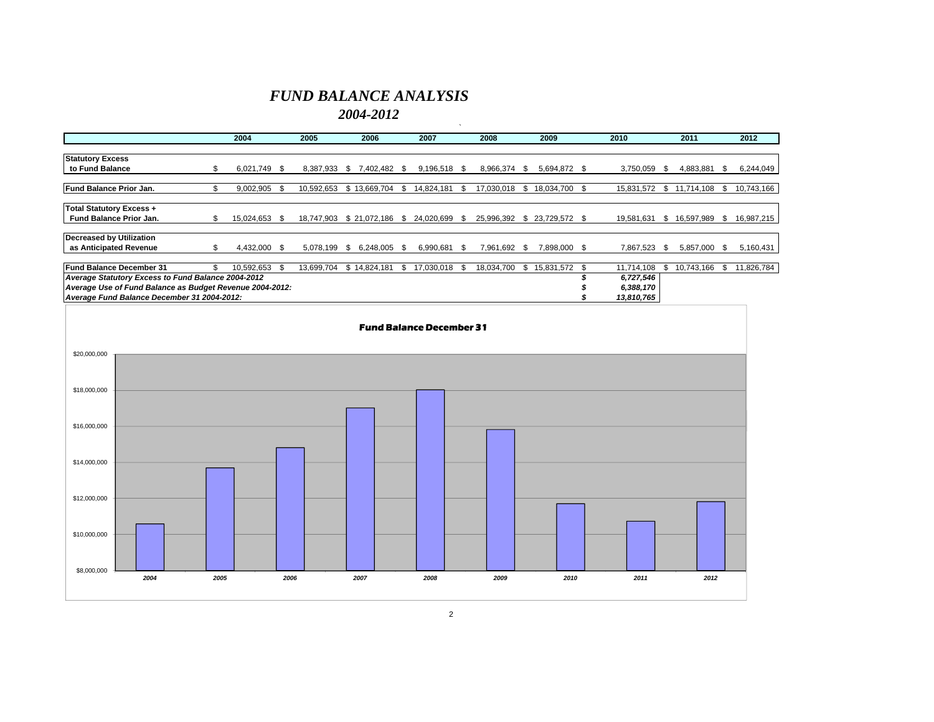### *FUND BALANCE ANALYSIS*

*2004-2012*

|                                                          |    | 2004          | 2005       | 2006               |      | 2007          |      | 2008         |     | 2009             | 2010       |      | 2011       |      | 2012       |
|----------------------------------------------------------|----|---------------|------------|--------------------|------|---------------|------|--------------|-----|------------------|------------|------|------------|------|------------|
|                                                          |    |               |            |                    |      |               |      |              |     |                  |            |      |            |      |            |
| <b>Statutory Excess</b>                                  |    |               |            |                    |      |               |      |              |     |                  |            |      |            |      |            |
| to Fund Balance                                          | S. | 6.021.749 \$  | 8.387.933  | 7,402,482 \$<br>\$ |      | 9,196,518 \$  |      | 8,966,374 \$ |     | 5,694,872 \$     | 3,750,059  | - \$ | 4,883,881  | SS.  | 6,244,049  |
|                                                          |    |               |            |                    |      |               |      |              |     |                  |            |      |            |      |            |
| Fund Balance Prior Jan.                                  | ፍ. | 9,002,905     | 10,592,653 | \$13,669,704       | -S   | 14,824,181    | - \$ | 17.030.018   | \$. | 18,034,700 \$    | 15,831,572 | \$.  | 11,714,108 | \$   | 10,743,166 |
| <b>Total Statutory Excess +</b>                          |    |               |            |                    |      |               |      |              |     |                  |            |      |            |      |            |
| Fund Balance Prior Jan.                                  | S  | 15,024,653 \$ | 18.747.903 | \$21,072,186       | -8   | 24.020.699 \$ |      | 25.996.392   |     | \$ 23.729.572 \$ | 19.581.631 | -SS  | 16,597,989 | S.   | 16,987,215 |
| Decreased by Utilization                                 |    |               |            |                    |      |               |      |              |     |                  |            |      |            |      |            |
| as Anticipated Revenue                                   | ፍ. | 4,432,000 \$  | 5.078.199  | 6.248.005<br>- \$  | - \$ | 6,990,681     | - \$ | 7,961,692 \$ |     | 7,898,000 \$     | 7.867.523  |      | 5,857,000  | - SS | 5,160,431  |
|                                                          |    |               |            |                    |      |               |      |              |     |                  |            |      |            |      |            |
| Fund Balance December 31                                 |    | 10,592,653    | 13,699,704 | \$14,824,181       | \$   | 17,030,018    | - 35 | 18,034,700   | \$. | 15,831,572 \$    | 11,714,108 |      | 10,743,166 | \$   | 11,826,784 |
| Average Statutory Excess to Fund Balance 2004-2012       |    |               |            |                    |      |               |      |              |     |                  | 6,727,546  |      |            |      |            |
| Average Use of Fund Balance as Budget Revenue 2004-2012: |    |               |            |                    |      |               |      |              |     |                  | 6,388,170  |      |            |      |            |
| Average Fund Balance December 31 2004-2012:              |    |               |            |                    |      |               |      |              |     |                  | 13,810,765 |      |            |      |            |

 $\mathcal{N}$ 

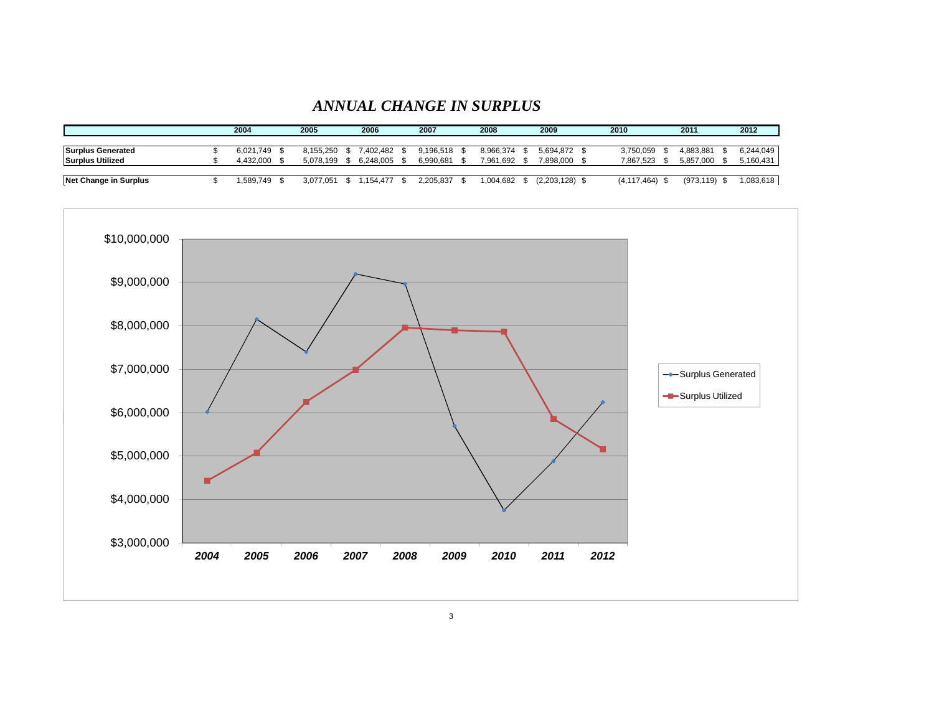#### *ANNUAL CHANGE IN SURPLUS*

|                          | 2004      | 2005 |           | 2006     |              | 2007      | 2008      | 2009        | 2010        | 2011       | 2012      |
|--------------------------|-----------|------|-----------|----------|--------------|-----------|-----------|-------------|-------------|------------|-----------|
|                          |           |      |           |          |              |           |           |             |             |            |           |
| <b>Surplus Generated</b> | 6.021.749 |      | 8.155.250 | 402.482. |              | 9.196.518 | 8.966.374 | 5.694.872   | 3.750.059   | 4.883.881  | 6.244.049 |
| <b>Surplus Utilized</b>  | 4.432.000 |      | 5.078.199 |          | 6.248.005 \$ | 6.990.681 | 7.961.692 | 7,898,000   | 7.867.523   | 5.857.000  | 5,160,431 |
|                          |           |      |           |          |              |           |           |             |             |            |           |
| Net Change in Surplus    | .589.749  |      | 3.077.051 | .154.477 |              | 2.205.837 | .004.682  | (2,203,128) | (4.117.464) | (973, 119) | 1,083,618 |

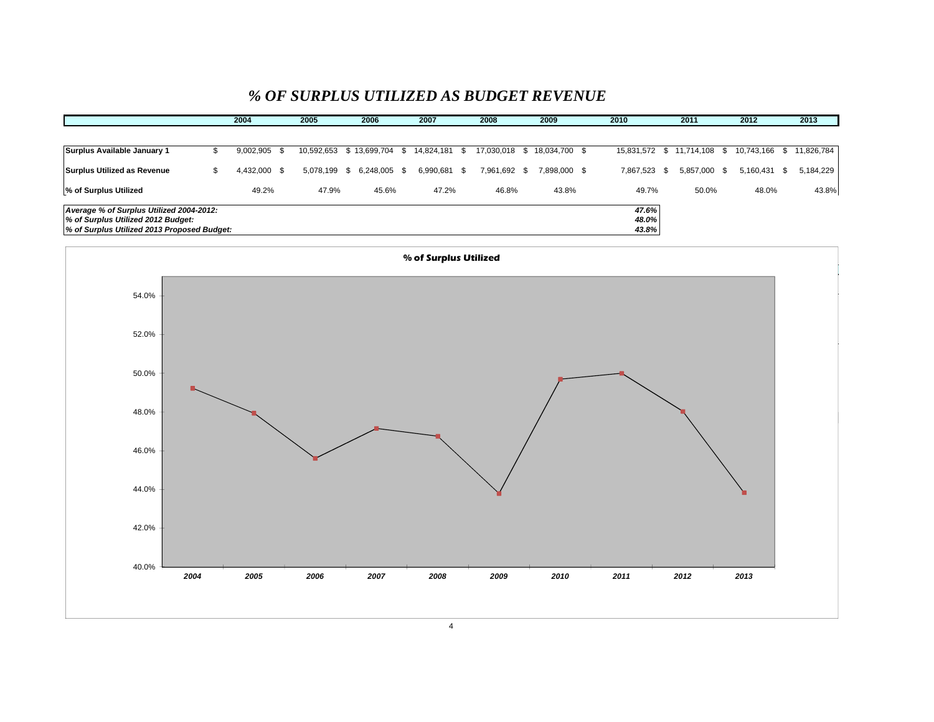# *% OF SURPLUS UTILIZED AS BUDGET REVENUE*

|                                             |      | 2004         | 2005       | 2006                | 2007          | 2008          | 2009          | 2010         | 2011                        | 2012          |      | 2013       |
|---------------------------------------------|------|--------------|------------|---------------------|---------------|---------------|---------------|--------------|-----------------------------|---------------|------|------------|
|                                             |      |              |            |                     |               |               |               |              |                             |               |      |            |
| Surplus Available January 1                 | - 30 | 9,002,905    | 10,592,653 | \$13,699,704 \$     | 14,824,181 \$ | 17,030,018 \$ | 18,034,700 \$ |              | 15,831,572 \$ 11,714,108 \$ | 10,743,166 \$ |      | 11,826,784 |
| Surplus Utilized as Revenue                 | ъ    | 4,432,000 \$ | 5.078.199  | 6,248,005 \$<br>- S | 6,990,681 \$  | 7,961,692 \$  | 7,898,000 \$  | 7,867,523 \$ | 5,857,000 \$                | 5,160,431     | - \$ | 5,184,229  |
| % of Surplus Utilized                       |      | 49.2%        | 47.9%      | 45.6%               | 47.2%         | 46.8%         | 43.8%         | 49.7%        | 50.0%                       | 48.0%         |      | 43.8%      |
| Average % of Surplus Utilized 2004-2012:    |      |              |            |                     |               |               |               | 47.6%        |                             |               |      |            |
| % of Surplus Utilized 2012 Budget:          |      |              |            |                     |               |               |               | 48.0%        |                             |               |      |            |
| % of Surplus Utilized 2013 Proposed Budget: |      |              |            |                     |               |               |               | 43.8%        |                             |               |      |            |

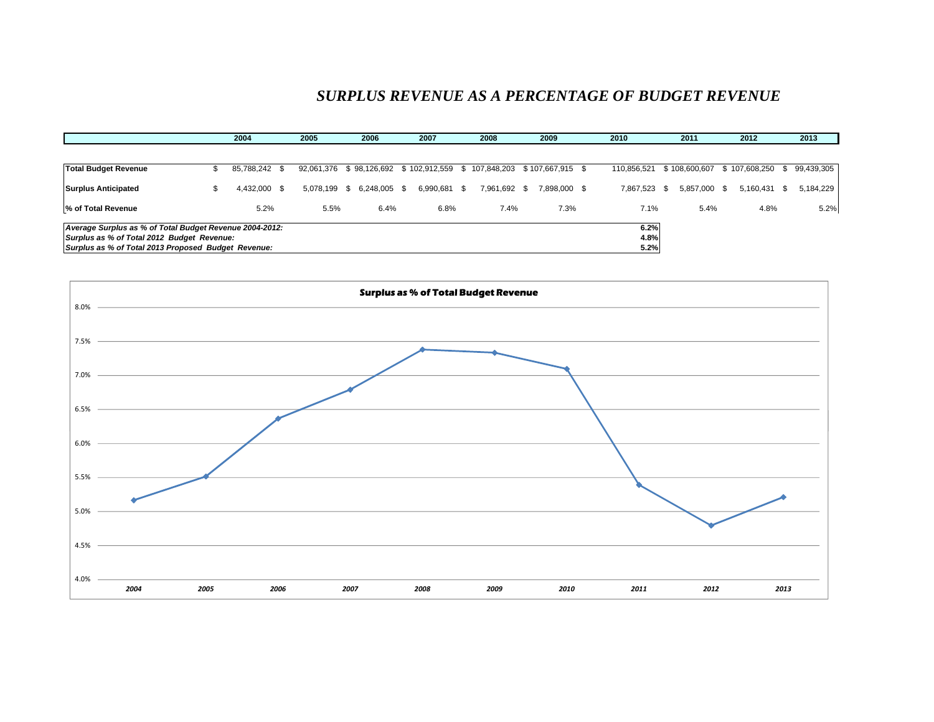# *SURPLUS REVENUE AS A PERCENTAGE OF BUDGET REVENUE*

|                                                                                                                                                              |     | 2004          | 2005 | 2006                                                                 | 2007         | 2008         | 2009         | 2010                 | 2011         | 2012                           |      | 2013       |
|--------------------------------------------------------------------------------------------------------------------------------------------------------------|-----|---------------|------|----------------------------------------------------------------------|--------------|--------------|--------------|----------------------|--------------|--------------------------------|------|------------|
|                                                                                                                                                              |     |               |      |                                                                      |              |              |              |                      |              |                                |      |            |
| <b>Total Budget Revenue</b>                                                                                                                                  | S.  | 85,788,242 \$ |      | 92,061,376 \$98,126,692 \$102,912,559 \$107,848,203 \$107,667,915 \$ |              |              |              | 110.856.521          |              | \$108,600,607 \$107,608,250 \$ |      | 99,439,305 |
| <b>Surplus Anticipated</b>                                                                                                                                   | \$. | 4,432,000 \$  |      | 5,078,199 \$ 6,248,005 \$                                            | 6,990,681 \$ | 7,961,692 \$ | 7,898,000 \$ | 7.867.523 \$         | 5,857,000 \$ | 5,160,431                      | - \$ | 5,184,229  |
| % of Total Revenue                                                                                                                                           |     | 5.2%          | 5.5% | 6.4%                                                                 | 6.8%         | 7.4%         | 7.3%         | 7.1%                 | 5.4%         | 4.8%                           |      | 5.2%       |
| Average Surplus as % of Total Budget Revenue 2004-2012:<br>Surplus as % of Total 2012 Budget Revenue:<br>Surplus as % of Total 2013 Proposed Budget Revenue: |     |               |      |                                                                      |              |              |              | 6.2%<br>4.8%<br>5.2% |              |                                |      |            |